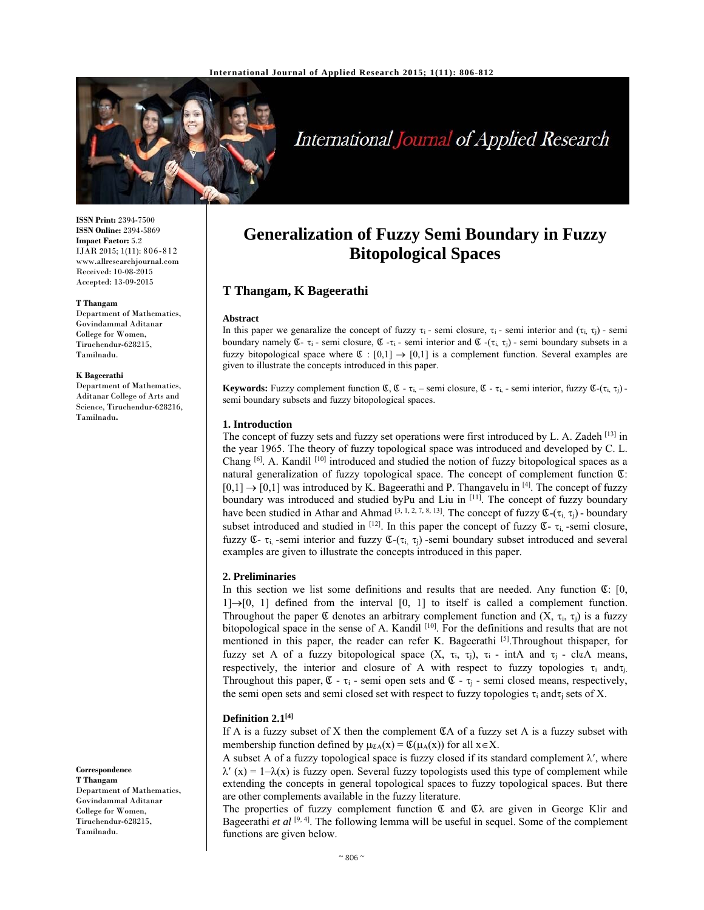

# International Journal of Applied Research

**ISSN Print:** 2394-7500 **ISSN Online:** 2394-5869 **Impact Factor:** 5.2 IJAR 2015; 1(11): 806-812 www.allresearchjournal.com Received: 10-08-2015 Accepted: 13-09-2015

#### **T Thangam**

Department of Mathematics, Govindammal Aditanar College for Women, Tiruchendur-628215, Tamilnadu.

#### **K Bageerathi**

Department of Mathematics, Aditanar College of Arts and Science, Tiruchendur-628216, Tamilnadu**.**

**Correspondence T Thangam**  Department of Mathematics, Govindammal Aditanar College for Women, Tiruchendur-628215, Tamilnadu.

# **Generalization of Fuzzy Semi Boundary in Fuzzy Bitopological Spaces**

# **T Thangam, K Bageerathi**

#### **Abstract**

In this paper we genaralize the concept of fuzzy  $\tau_i$  - semi closure,  $\tau_i$  - semi interior and  $(\tau_i, \tau_i)$  - semi boundary namely  $\mathfrak{C}$ -  $\tau_i$  - semi closure,  $\mathfrak{C}$ - $\tau_i$  - semi interior and  $\mathfrak{C}$ - $(\tau_i, \tau_j)$  - semi boundary subsets in a fuzzy bitopological space where  $\mathfrak{C} : [0,1] \rightarrow [0,1]$  is a complement function. Several examples are given to illustrate the concepts introduced in this paper.

**Keywords:** Fuzzy complement function  $\mathfrak{C}, \mathfrak{C}$  -  $\tau_{i}$  - semi closure,  $\mathfrak{C}$  -  $\tau_{i}$  - semi interior, fuzzy  $\mathfrak{C}$ -( $\tau_{i}$ ,  $\tau_{i}$ ) semi boundary subsets and fuzzy bitopological spaces.

#### **1. Introduction**

The concept of fuzzy sets and fuzzy set operations were first introduced by L. A. Zadeh <sup>[13]</sup> in the year 1965. The theory of fuzzy topological space was introduced and developed by C. L. Chang [6]. A. Kandil [10] introduced and studied the notion of fuzzy bitopological spaces as a natural generalization of fuzzy topological space. The concept of complement function Ձ:  $[0,1] \rightarrow [0,1]$  was introduced by K. Bageerathi and P. Thangavelu in <sup>[4]</sup>. The concept of fuzzy boundary was introduced and studied byPu and Liu in [11]. The concept of fuzzy boundary have been studied in Athar and Ahmad  $[3, 1, 2, 7, 8, 13]$ . The concept of fuzzy  $\mathfrak{C}$ -( $\tau_i$ ,  $\tau_j$ ) - boundary subset introduced and studied in  $[12]$ . In this paper the concept of fuzzy  $\mathfrak{C}$ -  $\tau_i$ -semi closure, fuzzy  $\mathfrak{C}$ -  $\tau_i$  -semi interior and fuzzy  $\mathfrak{C}$ -( $\tau_i$ ,  $\tau_i$ ) -semi boundary subset introduced and several examples are given to illustrate the concepts introduced in this paper.

#### **2. Preliminaries**

In this section we list some definitions and results that are needed. Any function  $\mathfrak{C}$ : [0,  $1] \rightarrow [0, 1]$  defined from the interval  $[0, 1]$  to itself is called a complement function. Throughout the paper  $\mathfrak C$  denotes an arbitrary complement function and  $(X, \tau_i, \tau_j)$  is a fuzzy bitopological space in the sense of A. Kandil  $[10]$ . For the definitions and results that are not mentioned in this paper, the reader can refer K. Bageerathi  $[5]$ . Throughout thispaper, for fuzzy set A of a fuzzy bitopological space  $(X, \tau_i, \tau_j)$ ,  $\tau_i$  - intA and  $\tau_i$  - clgA means, respectively, the interior and closure of A with respect to fuzzy topologies  $\tau_i$  and  $\tau_i$ . Throughout this paper,  $\mathfrak{C}$  -  $\tau_i$  - semi open sets and  $\mathfrak{C}$  -  $\tau_i$  - semi closed means, respectively, the semi open sets and semi closed set with respect to fuzzy topologies  $\tau_i$  and  $\tau_i$  sets of X.

## **Definition 2.1[4]**

If A is a fuzzy subset of X then the complement  $\mathfrak{C}$ A of a fuzzy set A is a fuzzy subset with membership function defined by  $\mu_{\mathfrak{C}A}(x) = \mathfrak{C}(\mu_A(x))$  for all  $x \in X$ .

A subset A of a fuzzy topological space is fuzzy closed if its standard complement  $\lambda'$ , where  $\lambda'$  (x) = 1– $\lambda(x)$  is fuzzy open. Several fuzzy topologists used this type of complement while extending the concepts in general topological spaces to fuzzy topological spaces. But there are other complements available in the fuzzy literature.

The properties of fuzzy complement function  $\mathfrak C$  and  $\mathfrak C\lambda$  are given in George Klir and Bageerathi *et al* [9, 4]. The following lemma will be useful in sequel. Some of the complement functions are given below.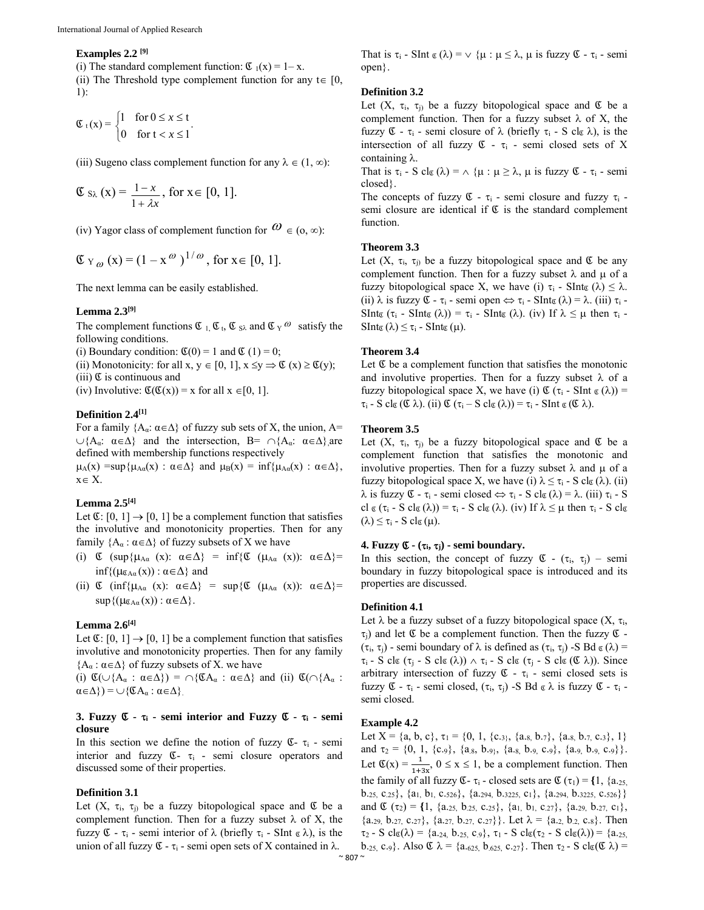#### **Examples 2.2 [9]**

(i) The standard complement function:  $\mathfrak{C}_1(x) = 1-x$ .

(ii) The Threshold type complement function for any  $t \in [0, 1]$ 1):

$$
\mathfrak{C}_t(x) = \begin{cases} 1 & \text{for } 0 \leq x \leq t \\ 0 & \text{for } t < x \leq 1 \end{cases}.
$$

(iii) Sugeno class complement function for any  $\lambda \in (1, \infty)$ :

$$
\mathfrak{C} s_{\lambda}(x) = \frac{1-x}{1+\lambda x}, \text{ for } x \in [0, 1].
$$

(iv) Yagor class of complement function for  $\omega \in (0, \infty)$ :

$$
\mathfrak{C}_{Y_{\omega}}(x) = (1 - x^{\omega})^{1/\omega}
$$
, for  $x \in [0, 1]$ .

The next lemma can be easily established.

#### **Lemma 2.3[9]**

The complement functions  $\mathfrak{C}_1$ ,  $\mathfrak{C}_2$ ,  $\mathfrak{C}_3$  and  $\mathfrak{C}_Y$   $\omega$  satisfy the following conditions.

(i) Boundary condition:  $\mathfrak{C}(0) = 1$  and  $\mathfrak{C}(1) = 0$ ;

(ii) Monotonicity: for all  $x, y \in [0, 1]$ ,  $x \leq y \Rightarrow \mathfrak{C}(x) \geq \mathfrak{C}(y)$ ;

 $(iii)$   $\mathfrak C$  is continuous and

(iv) Involutive:  $\mathfrak{C}(\mathfrak{C}(x)) = x$  for all  $x \in [0, 1]$ .

# **Definition 2.4[1]**

For a family  ${A_{\alpha} : \alpha \in \Delta}$  of fuzzy sub sets of X, the union, A=  $\cup \{A_{\alpha}: \alpha \in \Delta\}$  and the intersection, B=  $\cap \{A_{\alpha}: \alpha \in \Delta\}$  are defined with membership functions respectively

 $\mu_A(x) = \sup \{ \mu_{A\alpha}(x) : \alpha \in \Delta \}$  and  $\mu_B(x) = \inf \{ \mu_{A\alpha}(x) : \alpha \in \Delta \},$  $x \in X$ .

#### **Lemma 2.5[4]**

Let  $\mathfrak{C}$ :  $[0, 1] \rightarrow [0, 1]$  be a complement function that satisfies the involutive and monotonicity properties. Then for any family  ${A_{\alpha} : \alpha \in \Delta}$  of fuzzy subsets of X we have

- (i)  $\mathfrak{C}$  (sup{ $\mu_{A\alpha}$  (x):  $\alpha \in \Delta$ } = inf{ $\mathfrak{C}$  ( $\mu_{A\alpha}$  (x)):  $\alpha \in \Delta$ } =  $\inf\{(\mu_{\alpha_{A\alpha}}(x)) : \alpha \in \Delta\}$  and
- (ii)  $\mathfrak{C}$  (inf{ $\mu_{A\alpha}$  (x):  $\alpha \in \Delta$ } = sup{ $\mathfrak{C}$  ( $\mu_{A\alpha}$  (x)):  $\alpha \in \Delta$ } =  $\sup\{(\mu \alpha_{A\alpha}(x)) : \alpha \in \Delta\}.$

#### **Lemma 2.6[4]**

Let  $\mathfrak{C}$ : [0, 1]  $\rightarrow$  [0, 1] be a complement function that satisfies involutive and monotonicity properties. Then for any family  ${A_{\alpha} : \alpha \in \Delta}$  of fuzzy subsets of X. we have

(i)  $\mathfrak{C}(\cup\{A_\alpha : \alpha\in\Delta\}) = \bigcap \{\mathfrak{C}A_\alpha : \alpha\in\Delta\}$  and (ii)  $\mathfrak{C}(\bigcap\{A_\alpha : \alpha\in\Delta\})$  $\alpha \in \Delta$ ) =  $\cup$ {CA<sub>α</sub> :  $\alpha \in \Delta$ }.

# **3. Fuzzy** Ձ **- i - semi interior and Fuzzy** Ձ **- i - semi closure**

In this section we define the notion of fuzzy  $\mathfrak{C}$ -  $\tau_i$  - semi interior and fuzzy  $\mathfrak{C}$ -  $\tau$ <sub>i</sub> - semi closure operators and discussed some of their properties.

#### **Definition 3.1**

Let  $(X, \tau_i, \tau_j)$  be a fuzzy bitopological space and  $\mathfrak C$  be a complement function. Then for a fuzzy subset  $\lambda$  of X, the fuzzy  $\mathfrak{C}$  -  $\tau_i$  - semi interior of  $\lambda$  (briefly  $\tau_i$  - SInt  $\alpha \lambda$ ), is the union of all fuzzy  $\mathfrak{C}$  -  $\tau_i$  - semi open sets of X contained in  $\lambda$ .

That is  $\tau_i$  - SInt  $\alpha(\lambda) = \vee \{\mu : \mu \leq \lambda, \mu \text{ is fuzzy } \mathfrak{C}$  -  $\tau_i$  - semi open}.

#### **Definition 3.2**

Let  $(X, \tau_i, \tau_j)$  be a fuzzy bitopological space and  $\mathfrak C$  be a complement function. Then for a fuzzy subset  $\lambda$  of X, the fuzzy  $\mathfrak{C}$  -  $\tau_i$  - semi closure of  $\lambda$  (briefly  $\tau_i$  - S clo  $\lambda$ ), is the intersection of all fuzzy  $\mathfrak{C}$  -  $\tau_i$  - semi closed sets of X containing  $\lambda$ .

That is  $\tau_i$  - S cl<sub> $\mathfrak{C}(\lambda) = \wedge \{ \mu : \mu \geq \lambda, \mu \text{ is fuzzy } \mathfrak{C}$  -  $\tau_i$  - semi</sub> closed}.

The concepts of fuzzy  $\mathfrak{C}$  -  $\tau_i$  - semi closure and fuzzy  $\tau_i$  semi closure are identical if  $\mathfrak C$  is the standard complement function.

#### **Theorem 3.3**

Let  $(X, \tau_i, \tau_j)$  be a fuzzy bitopological space and  $\mathfrak C$  be any complement function. Then for a fuzzy subset  $\lambda$  and  $\mu$  of a fuzzy bitopological space X, we have (i)  $\tau_i$  - SInt<sub>®</sub> ( $\lambda$ )  $\leq \lambda$ . (ii)  $\lambda$  is fuzzy  $\mathfrak{C}$  -  $\tau_i$  - semi open  $\Leftrightarrow \tau_i$  - SInt $\mathfrak{g}(\lambda) = \lambda$ . (iii)  $\tau_i$  -SInt $\mathfrak{g}(\tau_i$  - SInt $\mathfrak{g}(\lambda)$  =  $\tau_i$  - SInt $\mathfrak{g}(\lambda)$ . (iv) If  $\lambda \leq \mu$  then  $\tau_i$  - $\text{SInt}_{\mathfrak{C}}(\lambda) \leq \tau_i$  -  $\text{SInt}_{\mathfrak{C}}(\mu)$ .

#### **Theorem 3.4**

Let  $\mathfrak C$  be a complement function that satisfies the monotonic and involutive properties. Then for a fuzzy subset  $\lambda$  of a fuzzy bitopological space X, we have (i)  $\mathfrak{C}(\tau_i$  - SInt  $\mathfrak{C}(\lambda)$  =  $\tau_i$  - S cl $\sigma(\mathfrak{C} \lambda)$ . (ii)  $\mathfrak{C}(\tau_i - S \text{ cl } \sigma(\lambda)) = \tau_i$  - SInt  $\sigma(\mathfrak{C} \lambda)$ .

## **Theorem 3.5**

Let  $(X, \tau_i, \tau_i)$  be a fuzzy bitopological space and  $\mathfrak C$  be a complement function that satisfies the monotonic and involutive properties. Then for a fuzzy subset  $\lambda$  and  $\mu$  of a fuzzy bitopological space X, we have (i)  $\lambda \leq \tau_i$  - S clg ( $\lambda$ ). (ii)  $\lambda$  is fuzzy  $\mathfrak{C}$  -  $\tau_i$  - semi closed  $\Leftrightarrow \tau_i$  - S cl $\alpha(\lambda) = \lambda$ . (iii)  $\tau_i$  - S cl  $\mathfrak{c}(\tau_i$  - S cl $\mathfrak{c}(\lambda)) = \tau_i$  - S cl $\mathfrak{c}(\lambda)$ . (iv) If  $\lambda \leq \mu$  then  $\tau_i$  - S cl $\mathfrak{c}$  $(\lambda) \leq \tau_i$  - S cl<sub>c</sub>( $\mu$ ).

#### **4. Fuzzy**  $\mathfrak{C}$  **-**  $(\tau_i, \tau_j)$  **- semi boundary.**

In this section, the concept of fuzzy  $\mathfrak{C}$  -  $(\tau_i, \tau_j)$  – semi boundary in fuzzy bitopological space is introduced and its properties are discussed.

#### **Definition 4.1**

Let  $\lambda$  be a fuzzy subset of a fuzzy bitopological space  $(X, \tau_i)$ ,  $\tau_i$ ) and let  $\mathfrak C$  be a complement function. Then the fuzzy  $\mathfrak C$  - $(\tau_i, \tau_j)$  - semi boundary of  $\lambda$  is defined as  $(\tau_i, \tau_j)$  -S Bd  $\alpha(\lambda)$  =  $\tau_i$  - S cl $\sigma(\tau_j - S \text{ cl } \sigma(\lambda)) \wedge \tau_i$  - S cl $\sigma(\tau_j - S \text{ cl } \sigma(\sigma(\lambda)))$ . Since arbitrary intersection of fuzzy  $\mathfrak{C}$  -  $\tau_i$  - semi closed sets is fuzzy  $\mathfrak{C}$  -  $\tau_i$  - semi closed,  $(\tau_i, \tau_i)$  -S Bd  $\alpha \lambda$  is fuzzy  $\mathfrak{C}$  -  $\tau_i$  semi closed.

#### **Example 4.2**

Let X = {a, b, c},  $\tau_1$  = {0, 1, {c.<sub>3}</sub>, {a.<sub>8,</sub> b.<sub>7</sub>}, {a.<sub>8,</sub> b.<sub>7,</sub> c.<sub>3</sub>}, 1} and  $\tau_2 = \{0, 1, \{c_{.9}\}, \{a_{.8}, b_{.9}, \{a_{.8}, b_{.9}, c_{.9}\}, \{a_{.9}, b_{.9}, c_{.9}\}\}.$ Let  $\mathfrak{C}(x) = \frac{1}{1+3x}$ ,  $0 \le x \le 1$ , be a complement function. Then the family of all fuzzy  $\mathfrak{C}$ - $\tau_i$ -closed sets are  $\mathfrak{C}(\tau_1) = \{1, \{a_{.25}, \ldots, a_{.n} \}$  $b_{.25,} c_{.25}$ ,  $\{a_1, b_1, c_{.526}\}$ ,  $\{a_{.294,} b_{.3225,} c_1\}$ ,  $\{a_{.294,} b_{.3225,} c_{.526}\}$ and  $\mathfrak{C}(\tau_2) = \{1, \{a_{.25}, b_{.25}, c_{.25}\}, \{a_1, b_1, c_{.27}\}, \{a_{.29}, b_{.27}, c_1\},\$  ${a_{.29, b_{.27, c_{.27}}}$ ,  ${a_{.27, b_{.27, c_{.27}}}$ . Let  $\lambda = {a_{.2, b_{.2, c_{.8}}}$ . Then  $\tau_2$  - S cl<sub>g</sub>( $\lambda$ ) = {a.<sub>24,</sub> b.<sub>25,</sub> c<sub>.9</sub>},  $\tau_1$  - S cl<sub>g</sub>( $\tau_2$  - S cl<sub>g</sub>( $\lambda$ )) = {a.<sub>25,</sub> b.<sub>25,</sub> c.<sub>9</sub>}. Also  $\mathfrak{C} \lambda = \{a_{.625,} b_{.625,} c_{.27}\}\.$  Then  $\tau_2$  - S cl<sub>c</sub>( $\mathfrak{C} \lambda$ ) =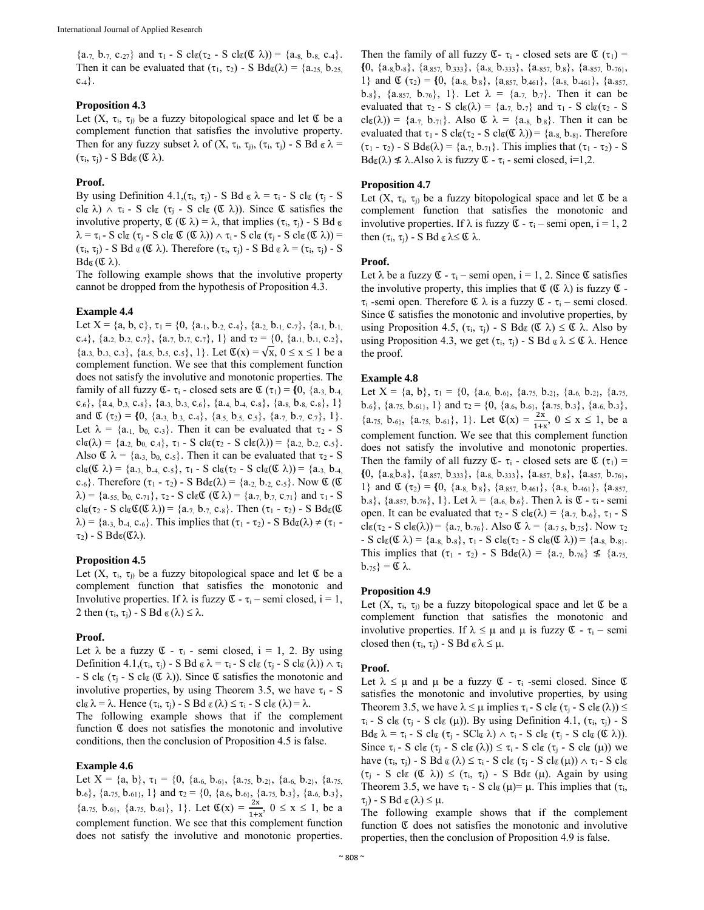${a_{.7, b_{.7, c_{.27}}}$  and  $\tau_1$  - S cl<sub>g</sub>( $\tau_2$  - S cl<sub>g</sub>( $\alpha$ )) = {a.<sub>8,</sub> b.<sub>8,</sub> c.<sub>4</sub>}. Then it can be evaluated that  $(\tau_1, \tau_2)$  - S  $Bd\sigma(\lambda) = \{a_{.25}, b_{.25},$  $c.4$ .

## **Proposition 4.3**

Let  $(X, \tau_i, \tau_j)$  be a fuzzy bitopological space and let  $\mathfrak C$  be a complement function that satisfies the involutive property. Then for any fuzzy subset  $\lambda$  of  $(X, \tau_i, \tau_j)$ ,  $(\tau_i, \tau_j)$  - S Bd  $\alpha \lambda$  =  $(\tau_i, \tau_j)$  - S Bd $\sigma(\mathfrak{C} \lambda)$ .

# **Proof.**

By using Definition 4.1,  $(\tau_i, \tau_j)$  - S Bd  $\alpha \lambda = \tau_i$  - S cl $\alpha (\tau_j$  - S cl  $\alpha$ )  $\wedge$   $\tau_i$  - S cl  $(\tau_i$  - S cl  $(\mathfrak{C} \lambda))$ . Since  $\mathfrak{C}$  satisfies the involutive property,  $\mathfrak{C}(\mathfrak{C} \lambda) = \lambda$ , that implies  $(\tau_i, \tau_j)$  - S Bd  $\alpha$  $\lambda = \tau_i$  - S clg ( $\tau_i$  - S clg  $\mathfrak{C}(\mathfrak{C} \lambda)$ )  $\wedge$   $\tau_i$  - S clg ( $\tau_i$  - S clg ( $\mathfrak{C} \lambda$ )) =  $(\tau_i, \tau_j)$  - S Bd  $\alpha$  ( $\alpha$ ). Therefore  $(\tau_i, \tau_j)$  - S Bd  $\alpha \lambda = (\tau_i, \tau_j)$  - S  $Bd\alpha$  ( $\alpha$ ).

The following example shows that the involutive property cannot be dropped from the hypothesis of Proposition 4.3.

# **Example 4.4**

Let  $X = \{a, b, c\}, \tau_1 = \{0, \{a_{.1}, b_{.2}, c_{.4}\}, \{a_{.2}, b_{.1}, c_{.7}\}, \{a_{.1}, b_{.1},$ c.<sub>4</sub>}, {a.<sub>2,</sub> b.<sub>2,</sub> c.<sub>7</sub>}, {a.<sub>7,</sub> b.<sub>7,</sub> c.<sub>7</sub>}, 1} and  $\tau_2 = \{0, \{a_{.1}, b_{.1}, c_{.2}\},\}$  $\{a_{.3}, b_{.3}, c_{.3}\}, \{a_{.5}, b_{.5}, c_{.5}\}, 1\}.$  Let  $\mathfrak{C}(x) = \sqrt{x}, 0 \le x \le 1$  be a complement function. We see that this complement function does not satisfy the involutive and monotonic properties. The family of all fuzzy  $\mathfrak{C}$ -  $\tau_i$  - closed sets are  $\mathfrak{C}$  ( $\tau_1$ ) = {0, {a.<sub>3,</sub> b.<sub>4,</sub>  $c.6$ },  $\{a.4, b.3, c.8\}$ ,  $\{a.3, b.3, c.6\}$ ,  $\{a.4, b.4, c.8\}$ ,  $\{a.8, b.8, c.8\}$ ,  $1\}$ and  $\mathfrak{C}(\tau_2) = \{0, \{a_{.3,}, b_{.3,}, c_{.4}\}, \{a_{.5,}, b_{.5,}, c_{.5}\}, \{a_{.7,}, b_{.7,}, c_{.7}\}, 1\}.$ Let  $\lambda = \{a_{.1}, b_{.0}, c_{.3}\}\$ . Then it can be evaluated that  $\tau_2$  - S  $cl \infty(\lambda) = \{a_{.2,} b_{0,} c_{.4}\}, \tau_1 - S \text{ } cl \infty(\tau_2 - S \text{ } cl \infty(\lambda)) = \{a_{.2,} b_{.2,} c_{.5}\}.$ Also  $\mathfrak{C} \lambda = \{a_{.3,} b_{0, C.5}\}\.$  Then it can be evaluated that  $\tau_2$  - S  $cl_{\mathfrak{C}}(\mathfrak{C} \lambda) = \{a_{.3, 0}, b_{.4, 0}, c_{.5}\}, \tau_1 - S \, cl_{\mathfrak{C}}(\tau_2 - S \, cl_{\mathfrak{C}}(\mathfrak{C} \lambda)) = \{a_{.3, 0}, b_{.4, 0}\}$ c.<sub>6</sub>}. Therefore  $(\tau_1 - \tau_2)$  - S Bd<sub>g</sub>( $\lambda$ ) = {a.<sub>2,</sub> b.<sub>2,</sub> c.<sub>5</sub>}. Now  $\mathfrak{C}$  ( $\mathfrak{C}$  $\lambda$ ) = {a.55, b<sub>0,</sub> c.71},  $\tau_2$  - S clgC (C $\lambda$ ) = {a.7, b.7, c.71} and  $\tau_1$  - S  $cl \in (\tau_2 - S \text{ } cl \in \mathfrak{C}(\mathfrak{C} \lambda)) = \{a_{.7}, b_{.7}, c_{.8}\}.$  Then  $(\tau_1 - \tau_2) - S \text{ } Bd \in \mathfrak{C}$  $\lambda$ ) = {a.<sub>3,</sub> b.<sub>4,</sub> c.<sub>6</sub>}. This implies that ( $\tau_1$  -  $\tau_2$ ) - S Bd<sub> $\sigma$ </sub>( $\lambda$ )  $\neq$  ( $\tau_1$  - $\tau_2$ ) - S Bd $\sigma(\mathfrak{C}\lambda)$ .

# **Proposition 4.5**

Let  $(X, \tau_i, \tau_j)$  be a fuzzy bitopological space and let  $\mathfrak C$  be a complement function that satisfies the monotonic and Involutive properties. If  $\lambda$  is fuzzy  $\mathfrak{C}$  -  $\tau_i$  – semi closed,  $i = 1$ , 2 then  $(\tau_i, \tau_j)$  - S Bd  $\alpha(\lambda) \leq \lambda$ .

## **Proof.**

Let  $\lambda$  be a fuzzy  $\mathfrak{C}$  -  $\tau_i$  - semi closed, i = 1, 2. By using Definition 4.1,  $(\tau_i, \tau_j)$  - S Bd  $\alpha \lambda = \tau_i$  - S cl $\alpha (\tau_i - S \text{ cl } \alpha(\lambda))$   $\wedge \tau_i$ - S cl $\mathfrak{g}$  ( $\tau_i$  - S cl $\mathfrak{g}$  ( $\mathfrak{C}$   $\lambda$ )). Since  $\mathfrak{C}$  satisfies the monotonic and involutive properties, by using Theorem 3.5, we have  $\tau_i$  - S  $cl \in \lambda = \lambda$ . Hence  $(\tau_i, \tau_j)$  - S Bd  $\in (\lambda) \leq \tau_i$  - S  $cl \in (\lambda) = \lambda$ .

The following example shows that if the complement function  $\mathfrak C$  does not satisfies the monotonic and involutive conditions, then the conclusion of Proposition 4.5 is false.

## **Example 4.6**

Let  $X = \{a, b\}, \tau_1 = \{0, \{a_{.6}, b_{.6}\}, \{a_{.75}, b_{.2}\}, \{a_{.6}, b_{.2}\}, \{a_{.75},$ b.<sub>6</sub>}, {a.<sub>75,</sub> b.<sub>61</sub>}, 1} and  $\tau_2 = \{0, \{a_{.6}, b_{.6}\}, \{a_{.75}, b_{.3}\}, \{a_{.6}, b_{.3}\},\$  $\{a_{.75, b.6\}, \{a_{.75, b.61}\}, 1\}$ . Let  $\mathfrak{C}(x) = \frac{2x}{1+x}$ ,  $0 \le x \le 1$ , be a complement function. We see that this complement function does not satisfy the involutive and monotonic properties.

Then the family of all fuzzy  $\mathfrak{C}$ -  $\tau_i$  - closed sets are  $\mathfrak{C}(\tau_1)$  =  ${\{0, \{a_{.8},b_{.8}\}, \{a_{.857}, b_{.333}\}, \{a_{.8}, b_{.333}\}, \{a_{.857}, b_{.8}\}, \{a_{.857}, b_{.76}\},\}$ 1} and  $\mathfrak{C}(\tau_2) = \{0, \{a_{.8}, b_{.8}\}, \{a_{.857}, b_{.461}\}, \{a_{.8}, b_{.461}\}, \{a_{.857}, b_{.861}\}$ b.<sub>8</sub>},  $\{a_{.857}, b_{.76}\}, 1\}$ . Let  $\lambda = \{a_{.7}, b_{.7}\}\$ . Then it can be evaluated that  $\tau_2$  - S cl $\sigma(\lambda) = \{a_{.7}, b_{.7}\}\$  and  $\tau_1$  - S cl $\sigma(\tau_2$  - S  $cl(\lambda) = \{a_{.7}, b_{.71}\}\.$  Also  $\mathfrak{C} \lambda = \{a_{.8}, b_{.8}\}\.$  Then it can be evaluated that  $\tau_1$  - S cl $g(\tau_2$  - S cl $g(\mathfrak{C} \lambda)$ ) = {a.g, b.g}. Therefore  $(\tau_1 - \tau_2)$  - S Bd<sub> $\sigma(\lambda)$ </sub> = {a<sub>-7,</sub> b<sub>-71</sub>}. This implies that  $(\tau_1 - \tau_2)$  - S  $Bd\sigma(\lambda) \nleq \lambda$ . Also  $\lambda$  is fuzzy  $\mathfrak{C}$  -  $\tau_i$  - semi closed, i=1,2.

## **Proposition 4.7**

Let  $(X, \tau_i, \tau_i)$  be a fuzzy bitopological space and let  $\mathfrak C$  be a complement function that satisfies the monotonic and involutive properties. If  $\lambda$  is fuzzy  $\mathfrak{C}$  -  $\tau_i$  – semi open,  $i = 1, 2$ then  $(\tau_i, \tau_j)$  - S Bd  $\alpha \geq \mathfrak{C} \lambda$ .

## **Proof.**

Let  $\lambda$  be a fuzzy  $\mathfrak{C}$  -  $\tau_i$  – semi open,  $i = 1, 2$ . Since  $\mathfrak{C}$  satisfies the involutive property, this implies that  $\mathfrak{C}(\mathfrak{C} \lambda)$  is fuzzy  $\mathfrak{C}$  - $\tau_i$  -semi open. Therefore  $\mathfrak{C} \lambda$  is a fuzzy  $\mathfrak{C}$  -  $\tau_i$  – semi closed. Since  $\mathfrak C$  satisfies the monotonic and involutive properties, by using Proposition 4.5,  $(\tau_i, \tau_j)$  - S  $Bd\sigma(\mathfrak{C} \lambda) \leq \mathfrak{C} \lambda$ . Also by using Proposition 4.3, we get  $(\tau_i, \tau_j)$  - S Bd  $\alpha \lambda \leq \mathfrak{C} \lambda$ . Hence the proof.

## **Example 4.8**

Let  $X = \{a, b\}, \tau_1 = \{0, \{a_{.6}, b_{.6}\}, \{a_{.75}, b_{.2}\}, \{a_{.6}, b_{.2}\}, \{a_{.75}, b_{.9}\}$ b.6},  $\{a_{.75}, b_{.61}$ , 1} and  $\tau_2 = \{0, \{a_{.6}, b_{.6}\}, \{a_{.75}, b_{.3}\}, \{a_{.6}, b_{.3}\},\$  ${a_{.75, b.6}}$ ,  ${a_{.75, b.61}}$ , 1}. Let  $\mathfrak{C}(x) = \frac{2x}{1+x}$ ,  $0 \le x \le 1$ , be a complement function. We see that this complement function does not satisfy the involutive and monotonic properties. Then the family of all fuzzy  $\mathfrak{C}$ -  $\tau_i$  - closed sets are  $\mathfrak{C}(\tau_1)$  =  ${0, {a_{.8},b_{.8}}, {a_{.857}, b_{.333}}, {a_{.8}, b_{.333}}, {a_{.857}, b_{.8}}, {a_{.857}, b_{.76}},$ 1} and  $\mathfrak{C}(\tau_2) = \{0, \{a_{.8}, b_{.8}\}, \{a_{.857}, b_{.461}\}, \{a_{.8}, b_{.461}\}, \{a_{.857}, b_{.861}\}$ b.8},  $\{a.857, b.76\}$ , 1}. Let  $\lambda = \{a.6, b.6\}$ . Then  $\lambda$  is  $\mathfrak{C}$  -  $\tau_i$  - semi open. It can be evaluated that  $\tau_2$  - S cl $\sigma(\lambda) = \{a_{.7}, b_{.6}\}, \tau_1$  - S  $cl_{\mathfrak{C}}(\tau_2 - S \text{ } cl_{\mathfrak{C}}(\lambda)) = \{a_{.7}, b_{.76}\}.$  Also  $\mathfrak{C} \lambda = \{a_{.75}, b_{.75}\}.$  Now  $\tau_2$  $-S \text{ cl}_{\mathfrak{C}}(\mathfrak{C} \lambda) = \{a_{.8}, b_{.8}\}, \tau_1 - S \text{ cl}_{\mathfrak{C}}(\tau_2 - S \text{ cl}_{\mathfrak{C}}(\mathfrak{C} \lambda)) = \{a_{.8}, b_{.8}\}.$ This implies that  $(\tau_1 - \tau_2)$  - S  $Bd\sigma(\lambda) = \{a_{.7}, b_{.76}\}\nleq \{a_{.75},$  $b_{.75}$ } =  $\mathfrak{C} \lambda$ .

## **Proposition 4.9**

Let  $(X, \tau_i, \tau_j)$  be a fuzzy bitopological space and let  $\mathfrak C$  be a complement function that satisfies the monotonic and involutive properties. If  $\lambda \leq \mu$  and  $\mu$  is fuzzy  $\mathfrak{C}$  -  $\tau_i$  – semi closed then  $(\tau_i, \tau_j)$  - S Bd  $\epsilon \lambda \leq \mu$ .

## **Proof.**

Let  $\lambda \leq \mu$  and  $\mu$  be a fuzzy  $\mathfrak{C}$  -  $\tau_i$  -semi closed. Since  $\mathfrak{C}$ satisfies the monotonic and involutive properties, by using Theorem 3.5, we have  $\lambda \leq \mu$  implies  $\tau_i$  - S cl $\sigma(\tau_j$  - S cl $\sigma(\lambda)) \leq$  $\tau_i$  - S cl<sub>c</sub> ( $\tau_j$  - S cl<sub>c</sub> ( $\mu$ )). By using Definition 4.1, ( $\tau_i$ ,  $\tau_j$ ) - S  $Bd_{\mathfrak{C}} \lambda = \tau_i - S \, cl_{\mathfrak{C}} (\tau_i - SCl_{\mathfrak{C}} \lambda) \wedge \tau_i - S \, cl_{\mathfrak{C}} (\tau_i - S \, cl_{\mathfrak{C}} (\mathfrak{C} \lambda)).$ Since  $\tau_i$  - S cl $\sigma(\tau_i - S \text{ cl } \sigma(\lambda)) \leq \tau_i$  - S cl $\sigma(\tau_i - S \text{ cl } \sigma(\mu))$  we have  $(\tau_i, \tau_j)$  - S Bd  $\alpha(\lambda) \leq \tau_i$  - S cl $\alpha(\tau_i - S \text{ cl } \alpha(\mu))$   $\wedge \tau_i$  - S cl $\alpha$  $(\tau_j - S \text{ cl } (\mathfrak{C} \lambda)) \leq (\tau_i, \tau_j) - S \text{ Bd } (\mu)$ . Again by using Theorem 3.5, we have  $\tau_i$  - S clg ( $\mu$ )=  $\mu$ . This implies that ( $\tau_i$ ,  $\tau_i$ ) - S Bd  $\sigma(\lambda) \leq \mu$ .

The following example shows that if the complement function  $\mathfrak C$  does not satisfies the monotonic and involutive properties, then the conclusion of Proposition 4.9 is false.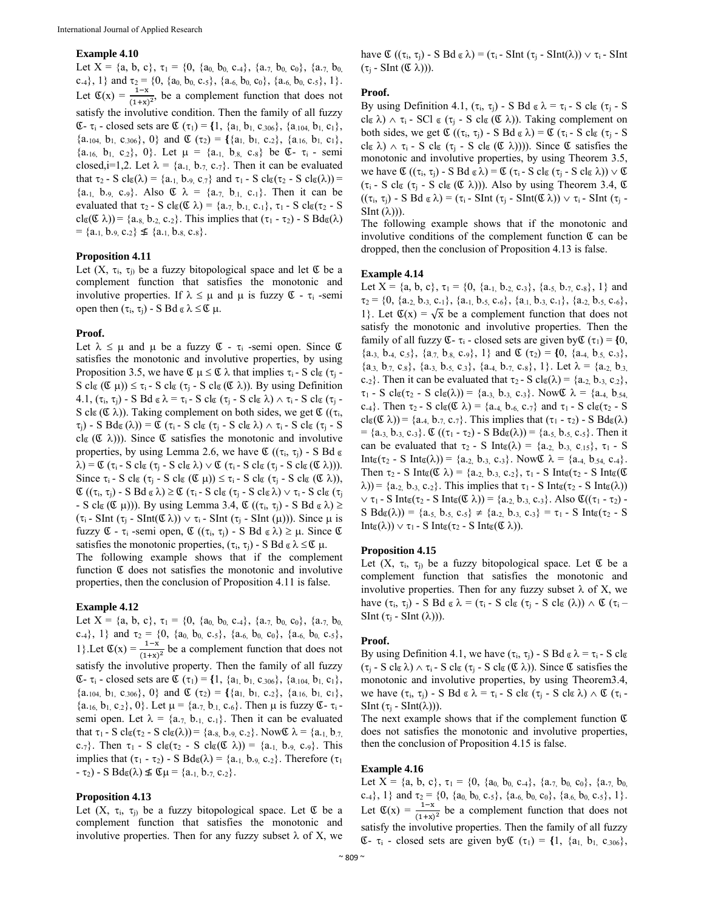#### **Example 4.10**

Let  $X = \{a, b, c\}$ ,  $\tau_1 = \{0, \{a_0, b_0, c_{.4}\}$ ,  $\{a_{.7}, b_0, c_0\}$ ,  $\{a_{.7}, b_0, c_{.8}\}$ c.4}, 1} and  $\tau_2 = \{0, \{a_0, b_0, c_0\}, \{a_0, c_0\}, \{a_0, b_0, c_0\}, 1\}.$ Let  $\mathfrak{C}(x) = \frac{1-x}{(1+x)^2}$ , be a complement function that does not satisfy the involutive condition. Then the family of all fuzzy **E**-  $\tau_i$  - closed sets are **C** ( $\tau_1$ ) = {1, {a<sub>1,</sub> b<sub>1</sub>, c<sub>.306</sub>}, {a<sub>104</sub>, b<sub>1</sub>, c<sub>1</sub>},  $\{a_{.104}, b_{1}, c_{.306}\}, 0\}$  and  $\mathfrak{C}(\tau_2) = \{\{a_{1}, b_{1}, c_{.2}\}, \{a_{.16}, b_{1}, c_{1}\},\}$  ${a_{.16, b_1, c_2}}, 0$ . Let  $\mu = {a_{.1, b_8, c_8}}$  be  $\mathfrak{C}$ -  $\tau_i$  - semi closed, i=1,2. Let  $\lambda = \{a_{.1}, b_{.7}, c_{.7}\}\$ . Then it can be evaluated that  $\tau_2$  - S cl $\sigma(\lambda)$  = {a<sub>1</sub>, b<sub>19</sub>, c<sub>7</sub>} and  $\tau_1$  - S cl $\sigma(\tau_2$  - S cl $\sigma(\lambda)$ ) =  ${a_{.1, b_{.9, c_{.9}}}$ . Also  $\mathfrak{C} \lambda = {a_{.7, b_{.1, c_{.1}}}$ . Then it can be evaluated that  $\tau_2$  - S clg( $\mathfrak{C} \lambda$ ) = {a.<sub>7,</sub> b.<sub>1,</sub> c.<sub>1</sub>},  $\tau_1$  - S clg( $\tau_2$  - S  $cl_{\mathfrak{C}}(\mathfrak{C} \lambda)$  = {a.s, b.<sub>2,</sub> c.<sub>2</sub>}. This implies that ( $\tau_1$  -  $\tau_2$ ) - S Bd<sub> $\mathfrak{C}(\lambda)$ </sub>  $= \{a_{.1, b_{.9, c.2}}\}\n\leq \{a_{.1, b_{.8, c.8}}\}.$ 

## **Proposition 4.11**

Let  $(X, \tau_i, \tau_i)$  be a fuzzy bitopological space and let  $\mathfrak C$  be a complement function that satisfies the monotonic and involutive properties. If  $\lambda \leq \mu$  and  $\mu$  is fuzzy  $\mathfrak{C}$  -  $\tau_i$  -semi open then  $(\tau_i, \tau_j)$  - S Bd  $\epsilon \lambda \leq \mathfrak{C} \mu$ .

## **Proof.**

Let  $\lambda \leq \mu$  and  $\mu$  be a fuzzy  $\mathfrak{C}$  -  $\tau_i$  -semi open. Since  $\mathfrak{C}$ satisfies the monotonic and involutive properties, by using Proposition 3.5, we have  $\mathfrak{C} \mu \leq \mathfrak{C} \lambda$  that implies  $\tau_i$  - S cl $\mathfrak{C}(\tau_i$  -S cl $\mathfrak{c}$  ( $\mathfrak{C}$   $\mu$ ))  $\leq \tau_i$  - S cl $\mathfrak{c}$  ( $\tau_j$  - S cl $\mathfrak{c}$  ( $\mathfrak{C}$   $\lambda$ )). By using Definition 4.1,  $(\tau_i, \tau_j)$  - S Bd  $\alpha \lambda = \tau_i$  - S cl $\alpha (\tau_j$  - S cl $\alpha \lambda$ )  $\wedge \tau_i$  - S cl $\alpha (\tau_j$  -S cl $\mathfrak{g}$  ( $\mathfrak{C}(\mathfrak{c})$ ). Taking complement on both sides, we get  $\mathfrak{C}$  (( $\tau_i$ ,  $(\tau_i)$  - S Bd $(\lambda)$ ) =  $\mathfrak{C}(\tau_i$  - S cl $(\tau_i - S \text{ cl } \alpha \lambda) \wedge \tau_i$  - S cl $(\tau_i - S \text{ cl } \alpha \lambda)$ cl  $(\mathfrak{C} \lambda)$ ). Since  $\mathfrak{C}$  satisfies the monotonic and involutive properties, by using Lemma 2.6, we have  $\mathfrak{C}$  ( $(\tau_i, \tau_j)$  - S Bd  $\mathfrak{g}$  $\lambda$ ) =  $\mathfrak{C}$  ( $\tau_i$  - S cl $\tau_i$  - S cl $\mathfrak{C}$  ( $\tau_i$ )  $\vee$   $\mathfrak{C}$  ( $\tau_i$  - S cl $\tau_i$  - S cl $\tau_i$  ( $\mathfrak{C}$   $\lambda$ ))). Since  $\tau_i$  - S cl<sub> $\mathfrak{C}$ </sub> ( $\tau_i$  - S cl<sub> $\mathfrak{C}$ </sub> ( $\mathfrak{C}$   $\mu$ ))  $\leq \tau_i$  - S cl $\mathfrak{C}$  ( $\tau_i$  - S cl $\mathfrak{C}$  ( $\mathfrak{C}$   $\lambda$ )),  $\mathfrak{C}((\tau_i, \tau_j) - S \boxtimes \mathfrak{c} \lambda) \geq \mathfrak{C}(\tau_i - S \text{ } \mathrm{cl}_{\mathfrak{C}}(\tau_j - S \text{ } \mathrm{cl}_{\mathfrak{C}}\lambda) \vee \tau_i - S \text{ } \mathrm{cl}_{\mathfrak{C}}(\tau_j$ - S cl $(\mathfrak{C} \mu)$ ). By using Lemma 3.4,  $\mathfrak{C}((\tau_i, \tau_i)$  - S Bd  $\alpha \lambda) \ge$  $(\tau_i$  - SInt  $(\tau_i$  - SInt( $\mathfrak{C} \lambda$ ))  $\vee$   $\tau_i$  - SInt  $(\tau_i$  - SInt ( $\mu$ ))). Since  $\mu$  is fuzzy  $\mathfrak{C}$  -  $\tau_i$  -semi open,  $\mathfrak{C}$  (( $\tau_i$ ,  $\tau_i$ ) - S Bd  $\alpha \lambda$ )  $\geq \mu$ . Since  $\mathfrak{C}$ satisfies the monotonic properties,  $(\tau_i, \tau_j)$  - S Bd  $\alpha \lambda \leq \alpha \mu$ .

The following example shows that if the complement function  $\mathfrak C$  does not satisfies the monotonic and involutive properties, then the conclusion of Proposition 4.11 is false.

## **Example 4.12**

Let  $X = \{a, b, c\}$ ,  $\tau_1 = \{0, \{a_0, b_0, c_4\}$ ,  $\{a_{.7}, b_0, c_0\}$ ,  $\{a_{.7}, b_0, c_0\}$ c.4}, 1} and  $\tau_2 = \{0, \{a_0, b_0, c_0\}, \{a_0, b_0, c_0\}, \{a_0, b_0, c_0\},$ 1}. Let  $\mathfrak{C}(x) = \frac{1-x}{(1+x)^2}$  be a complement function that does not satisfy the involutive property. Then the family of all fuzzy **E**-  $\tau_i$  - closed sets are **C** ( $\tau_1$ ) = {1, {a<sub>1,</sub> b<sub>1</sub>, c<sub>.306</sub>}, {a<sub>104</sub>, b<sub>1</sub>, c<sub>1</sub>},  $\{a_{.104}, b_{1}, c_{.306}\}, 0\}$  and  $\mathfrak{C}(\tau_2) = \{\{a_{1}, b_{1}, c_{.2}\}, \{a_{.16}, b_{1}, c_{1}\},\}$  $\{a_{.16}, b_1, c_{.2}\}, 0\}$ . Let  $\mu = \{a_{.7}, b_{.1}, c_{.6}\}$ . Then  $\mu$  is fuzzy  $\mathfrak{C}$ -  $\tau_i$ semi open. Let  $\lambda = \{a_{.7}, b_{.1}, c_{.1}\}\)$ . Then it can be evaluated that  $\tau_1$  - S cl $\sigma(\tau_2$  - S cl $\sigma(\lambda)) = \{a_{.8, b_{.9, c.2}}\}$ . Now  $\sigma \lambda = \{a_{.1, b_{.7, c}}\}$ c.7}. Then  $\tau_1$  - S cl<sub> $\mathfrak{gl}_2$ </sub> - S cl $\mathfrak{gl}_2(\mathfrak{C} \lambda)$  = {a.<sub>1,</sub> b.<sub>9,</sub> c.<sub>9</sub>}. This implies that  $(\tau_1 - \tau_2)$  - S Bd $\sigma(\lambda) = \{a_{.1}, b_{.9}, c_{.2}\}\$ . Therefore  $(\tau_1$  $- \tau_2$ ) - S Bd $\sigma(\lambda) \nleq \mathfrak{C} \mu = \{a_{.1, b_{.7, c_{.2}}}\}.$ 

#### **Proposition 4.13**

Let  $(X, \tau_i, \tau_j)$  be a fuzzy bitopological space. Let  $\mathfrak C$  be a complement function that satisfies the monotonic and involutive properties. Then for any fuzzy subset  $\lambda$  of X, we

have  $\mathfrak{C}((\tau_i, \tau_j) - S \text{ Bd } \mathfrak{c} \lambda) = (\tau_i - \text{SInt } (\tau_j - \text{SInt}(\lambda)) \vee \tau_i - \text{SInt } \lambda)$  $(\tau_i$  - SInt  $(\mathfrak{C} \lambda))$ ).

## **Proof.**

By using Definition 4.1,  $(\tau_i, \tau_j)$  - S Bd  $\alpha \lambda = \tau_i$  - S cl $\alpha (\tau_i$  - S cl  $\alpha$ )  $\wedge \tau$ <sub>i</sub> - SCl  $\alpha$  ( $\tau$ <sub>i</sub> - S cl  $\alpha$  ( $\alpha$   $\lambda$ )). Taking complement on both sides, we get  $\mathfrak{C}((\tau_i, \tau_j) - S \boxtimes \mathfrak{C}) = \mathfrak{C}(\tau_i - S \text{ cl}_{\mathfrak{C}}(\tau_i - S))$ clg  $\lambda$ )  $\wedge$   $\tau_i$  - S clg ( $\tau_j$  - S clg ( $\mathfrak{C}$   $\lambda$ )))). Since  $\mathfrak{C}$  satisfies the monotonic and involutive properties, by using Theorem 3.5, we have  $\mathfrak{C}((\tau_i, \tau_i) - S \boxtimes \mathfrak{c} \lambda) = \mathfrak{C}(\tau_i - S \text{ } \mathrm{cl}_{\mathfrak{C}}(\tau_i - S \text{ } \mathrm{cl}_{\mathfrak{C}} \lambda)) \vee \mathfrak{C}$  $(\tau_i$  - S clg  $(\tau_i$  - S clg  $(\mathfrak{C} \lambda))$ . Also by using Theorem 3.4,  $\mathfrak{C}$  $((\tau_i, \tau_j)$  - S Bd  $\alpha \lambda) = (\tau_i$  - SInt  $(\tau_j$  - SInt( $\alpha \lambda)$ )  $\vee$   $\tau_i$  - SInt ( $\tau_j$  - $SInt (\lambda))$ ).

The following example shows that if the monotonic and involutive conditions of the complement function  $\mathfrak C$  can be dropped, then the conclusion of Proposition 4.13 is false.

## **Example 4.14**

Let  $X = \{a, b, c\}, \tau_1 = \{0, \{a_{.1}, b_{.2}, c_{.3}\}, \{a_{.5}, b_{.7}, c_{.8}\}, 1\}$  and  $\tau_2 = \{0, \{a_{.2}, b_{.3}, c_{.1}\}, \{a_{.1}, b_{.5}, c_{.6}\}, \{a_{.1}, b_{.3}, c_{.1}\}, \{a_{.2}, b_{.5}, c_{.6}\},\$ 1}. Let  $\mathfrak{C}(x) = \sqrt{x}$  be a complement function that does not satisfy the monotonic and involutive properties. Then the family of all fuzzy  $\mathfrak{C}$ -  $\tau_i$  - closed sets are given by  $\mathfrak{C}(\tau_1) = \{0,$  $\{a_{.3}, b_{.4}, c_{.5}\}, \{a_{.7}, b_{.8}, c_{.9}\}, 1\}$  and  $\mathfrak{C}(\tau_2) = \{0, \{a_{.4}, b_{.5}, c_{.3}\},$  ${a_{.3}, b_{.7}, c_{.8}}, {a_{.3}, b_{.5}, c_{.3}}, {a_{.4}, b_{.7}, c_{.8}}, 1}.$  Let  $\lambda = {a_{.2}, b_{.3}}$ c.<sub>2</sub>}. Then it can be evaluated that  $\tau_2$  - S cl $\sigma(\lambda) = \{a_{.2, 0, .3, .c_{.2}}\},\$  $\tau_1$  - S cl $\sigma(\tau_2$  - S cl $\sigma(\lambda)) = \{a_{.3, b_{.3, c_{.3}}}\}\.$  Now  $\lambda = \{a_{.4, b_{.54, c_{.54}}}\}\.$ c.4}. Then  $\tau_2$  - S cl $g(\mathfrak{C} \lambda)$  = {a.4, b.6, c.7} and  $\tau_1$  - S cl $g(\tau_2$  - S  $cl \in (\mathfrak{C} \lambda)$  = {a.4, b.7, c.7}. This implies that  $(\tau_1 - \tau_2)$  - S Bd $\infty(\lambda)$ = {a.3, b.3, c.3}. Ձ ((1 - 2) - S BdՁ()) = {a.5, b.5, c.5}. Then it can be evaluated that  $\tau_2$  - S Int<sub> $\alpha(\lambda)$ </sub> = {a.<sub>2,</sub> b.<sub>3,</sub> c<sub>.15</sub>},  $\tau_1$  - S Int<sub>σ</sub>(τ<sub>2</sub> - S Int<sub>σ</sub>(λ)) = {a.<sub>2,</sub> b.<sub>3,</sub> c.<sub>3</sub>}. Now  $\&$  λ = {a.<sub>4,</sub> b<sub>.54,</sub> c.<sub>4</sub>}. Then  $\tau_2$  - S Interaction  $\lambda$ ) = {a.<sub>2,</sub> b.<sub>3,</sub> c.<sub>2</sub>},  $\tau_1$  - S Interaction  $\tau_2$  - S Interaction  $(\lambda)$ ) = {a.<sub>2,</sub> b.<sub>3,</sub> c.<sub>2</sub>}. This implies that  $\tau_1$  - S Int $g(\tau_2$  - S Int $g(\lambda)$ )  $\vee$   $\tau_1$  - S Int<sub> $\mathfrak{g}(\tau_2$  - S Int $\mathfrak{g}(\mathfrak{C} \lambda))$  = {a.<sub>2,</sub> b.<sub>3,</sub> c.<sub>3</sub>}. Also  $\mathfrak{C}((\tau_1 - \tau_2)$  -</sub>  $S B d\sigma(\lambda) = \{a_{.5}, b_{.5}, c_{.5}\} \neq \{a_{.2}, b_{.3}, c_{.3}\} = \tau_1 - S Int_{\sigma}(\tau_2 - S)$  $Int_{\mathfrak{C}}(\lambda)) \vee \tau_1$  - S  $Int_{\mathfrak{C}}(\tau_2$  - S  $Int_{\mathfrak{C}}(\mathfrak{C} \lambda)).$ 

#### **Proposition 4.15**

Let  $(X, \tau_i, \tau_j)$  be a fuzzy bitopological space. Let  $\mathfrak C$  be a complement function that satisfies the monotonic and involutive properties. Then for any fuzzy subset  $\lambda$  of X, we have  $(\tau_i, \tau_j)$  - S Bd  $\alpha \lambda = (\tau_i - S \text{ cl } \alpha (\tau_j - S \text{ cl } \alpha (\lambda))) \wedge \alpha (\tau_i - \alpha)$ SInt  $(\tau_i$  - SInt  $(\lambda))$ ).

#### **Proof.**

By using Definition 4.1, we have  $(\tau_i, \tau_j)$  - S Bd  $\alpha \lambda = \tau_i$  - S cla  $(\tau_i$  - S cl $\alpha \lambda$ )  $\wedge \tau_i$  - S cl $\alpha$  ( $\tau_i$  - S cl $\alpha$  ( $\alpha \lambda$ )). Since  $\alpha$  satisfies the monotonic and involutive properties, by using Theorem3.4, we have  $(\tau_i, \tau_j)$  - S Bd  $\alpha \lambda = \tau_i$  - S cl $\alpha (\tau_i - S \text{ clear } \lambda) \wedge \alpha (\tau_i - \lambda)$ SInt  $(\tau_i$  - SInt( $\lambda$ ))).

The next example shows that if the complement function  $\mathfrak C$ does not satisfies the monotonic and involutive properties, then the conclusion of Proposition 4.15 is false.

#### **Example 4.16**

Let  $X = \{a, b, c\}, \tau_1 = \{0, \{a_0, b_0, c_4\}, \{a_{.7}, b_0, c_0\}, \{a_{.7}, b_0, c_0\}, \tau_2 = \{a_{.7}, b_{.7}\}$ c.4}, 1} and  $\tau_2 = \{0, \{a_0, b_0, c_0\}, \{a_6, b_0, c_0\}, \{a_6, b_0, c_0\}, 1\}.$ Let  $\mathfrak{C}(x) = \frac{1-x}{(1+x)^2}$  be a complement function that does not satisfy the involutive properties. Then the family of all fuzzy  $\mathfrak{C}$ -  $\tau_i$  - closed sets are given by  $\mathfrak{C}(\tau_1) = \{1, \{a_1, b_1, c_{.306}\},\}$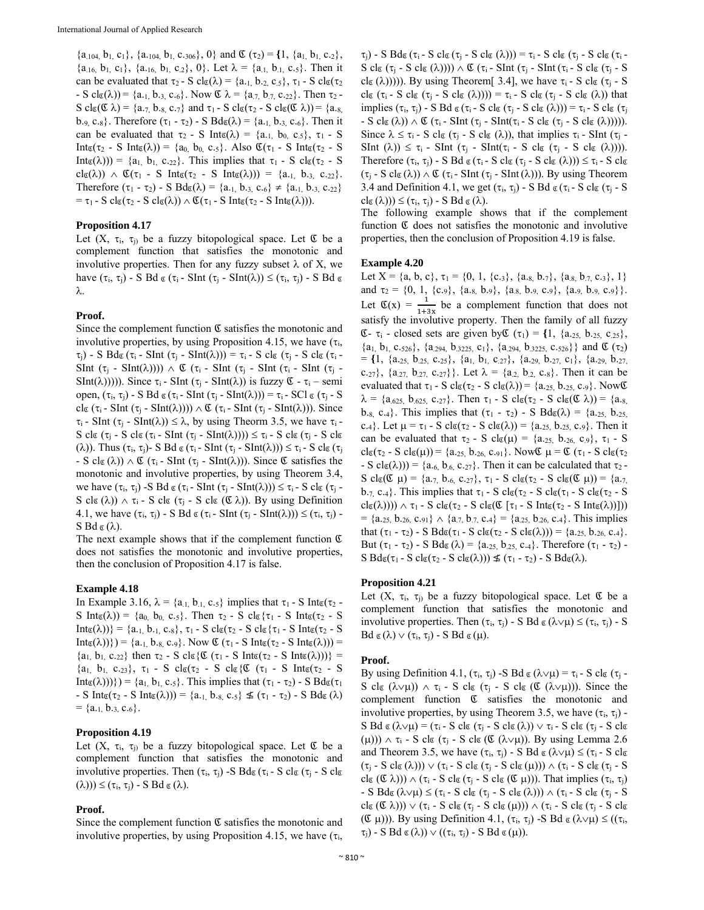$\{a_{.104}, b_{1}, c_{1}\}, \{a_{.104}, b_{1}, c_{.306}\}, 0\}$  and  $\mathfrak{C}(\tau_2) = \{1, \{a_1, b_1, c_2\},\}$  ${a_{.16, b_1, c_1}, {a_{.16, b_1, c_2}}, 0}.$  Let  $\lambda = {a_{.1, b_{.1, c.5}}}.$  Then it can be evaluated that  $\tau_2$  - S cl<sub>g</sub>( $\lambda$ ) = {a<sub>-1,</sub> b<sub>-2,</sub> c<sub>-5</sub>},  $\tau_1$  - S cl<sub>g</sub>( $\tau_2$ )  $-S \text{ cl}_{\mathfrak{C}}(\lambda)) = \{a_{.1}, b_{.3}, c_{.6}\}.$  Now  $\mathfrak{C} \lambda = \{a_{.7}, b_{.7}, c_{.22}\}.$  Then  $\tau_2$ S cl $g(\mathfrak{C} \lambda) = \{a_{.7}, b_{.8}, c_{.7}\}$  and  $\tau_1$  - S cl $g(\tau_2$  - S cl $g(\mathfrak{C} \lambda)) = \{a_{.8}\}$ b.<sub>9,</sub> c.<sub>8</sub>}. Therefore  $(\tau_1 - \tau_2)$  - S Bd<sub>g</sub>( $\lambda$ ) = {a.<sub>1,</sub> b.<sub>3,</sub> c.<sub>6</sub>}. Then it can be evaluated that  $\tau_2$  - S Int<sub> $\alpha(\lambda)$ </sub> = {a<sub>-1,</sub> b<sub>0,</sub> c<sub>-5</sub>},  $\tau_1$  - S Int $\mathfrak{g}(\tau_2$  - S Int $\mathfrak{g}(\lambda)$ ) = {a<sub>0,</sub> b<sub>0,</sub> c.<sub>5</sub>}. Also  $\mathfrak{C}(\tau_1$  - S Int $\mathfrak{g}(\tau_2$  - S Int<sub> $\alpha(\lambda)$ </sub>) = {a<sub>1,</sub> b<sub>1,</sub> c.<sub>22</sub>}. This implies that  $\tau_1$  - S cl<sub> $\alpha(\tau_2$ </sub> - S  $cl(\lambda)) \wedge \mathfrak{C}(\tau_1 - S \text{ Int }(\tau_2 - S \text{ Int }(\lambda))) = \{a_{.1}, b_{.3}, c_{.22}\}.$ Therefore  $(\tau_1 - \tau_2)$  - S Bd<sub> $\alpha(\lambda)$ </sub> = {a<sub>-1,</sub> b<sub>-3,</sub> c<sub>-6</sub>}  $\neq$  {a<sub>-1,</sub> b<sub>-3,</sub> c<sub>-22</sub>}  $= \tau_1$  - S clg( $\tau_2$  - S clg( $\lambda$ ))  $\wedge$   $\mathfrak{C}(\tau_1$  - S Intg( $\tau_2$  - S Intg( $\lambda$ ))).

# **Proposition 4.17**

Let  $(X, \tau_i, \tau_j)$  be a fuzzy bitopological space. Let  $\mathfrak C$  be a complement function that satisfies the monotonic and involutive properties. Then for any fuzzy subset  $\lambda$  of X, we have  $(\tau_i, \tau_j)$  - S Bd  $\alpha (\tau_i$  - SInt  $(\tau_j$  - SInt( $\lambda$ ))  $\leq (\tau_i, \tau_j)$  - S Bd  $\alpha$ λ.

## **Proof.**

Since the complement function  $\mathfrak C$  satisfies the monotonic and involutive properties, by using Proposition 4.15, we have  $(\tau_i)$ ,  $\tau_i$ ) - S Bd $g(\tau_i$  - SInt  $(\tau_i$  - SInt( $\lambda$ ))) =  $\tau_i$  - S cl $g(\tau_i$  - S cl $g(\tau_i -$ SInt  $(\tau_j$  - SInt( $\lambda$ ))))  $\wedge$  C ( $\tau_i$  - SInt ( $\tau_j$  - SInt ( $\tau_i$  - SInt ( $\tau_i$  - $SInt(\lambda))$ )). Since  $\tau_i$  - SInt ( $\tau_i$  - SInt( $\lambda$ )) is fuzzy  $\mathfrak{C}$  -  $\tau_i$  – semi open,  $(\tau_i, \tau_j)$  - S Bd  $\mathfrak{g}(\tau_i$  - SInt  $(\tau_i$  - SInt( $\lambda$ ))) =  $\tau_i$  - SCl  $\mathfrak{g}(\tau_i$  - S cl $\mathfrak{c}$  ( $\tau_i$  - SInt ( $\tau_j$  - SInt( $\lambda$ ))))  $\wedge$  ( $\tau_i$  - SInt( $\tau_j$  - SInt( $\lambda$ ))). Since  $\tau_i$  - SInt ( $\tau_i$  - SInt( $\lambda$ ))  $\leq \lambda$ , by using Theorm 3.5, we have  $\tau_i$  -S cl $\mathfrak{g}$  ( $\tau_j$  - S cl $\mathfrak{g}$  ( $\tau_i$  - SInt ( $\tau_j$  - SInt( $\lambda$ ))))  $\leq \tau_i$  - S cl $\mathfrak{g}$  ( $\tau_j$  - S cl $\mathfrak{g}$ ( $\lambda$ )). Thus  $(\tau_i, \tau_j)$ - S Bd  $\alpha (\tau_i$ - SInt  $(\tau_j$ - SInt $(\lambda))$ )  $\leq \tau_i$ - S cl $\alpha (\tau_j)$ - S cl<sub> $\mathfrak{C}(\lambda)$ </sub>  $\wedge$   $\mathfrak{C}(\tau_i$  - SInt $(\tau_i$  - SInt $(\lambda))$ . Since  $\mathfrak{C}$  satisfies the monotonic and involutive properties, by using Theorem 3.4, we have  $(\tau_i, \tau_j)$  -S Bd  $\alpha(\tau_i$  - SInt  $(\tau_j$  - SInt( $\lambda$ )))  $\leq \tau_i$  - S cl $\alpha(\tau_j$  -S cl $(\lambda)$ )  $\wedge$   $\tau_i$  - S cl $(\tau_i$  - S cl $(\mathfrak{C} \lambda)$ ). By using Definition 4.1, we have  $(\tau_i, \tau_j)$  - S Bd  $\alpha(\tau_i$  - SInt  $(\tau_j$  - SInt( $\lambda$ )))  $\leq (\tau_i, \tau_j)$  - $S Bd \sigma (\lambda)$ .

The next example shows that if the complement function  $\mathfrak C$ does not satisfies the monotonic and involutive properties, then the conclusion of Proposition 4.17 is false.

## **Example 4.18**

In Example 3.16,  $\lambda = \{a_{.1}, b_{.1}, c_{.5}\}$  implies that  $\tau_1$  - S Inter-S Int $\epsilon(\lambda)$ ) = {a<sub>0,</sub> b<sub>0,</sub> c.<sub>5</sub>}. Then  $\tau_2$  - S cl $\epsilon$ { $\tau_1$  - S Int $\epsilon(\tau_2$  - S  $Int_{\mathfrak{C}}(\lambda)) = \{a_{.1, b_{.1, c_{.8}}}, \tau_1 - S \text{ cl}_{\mathfrak{C}}(\tau_2 - S \text{ cl}_{\mathfrak{C}}\{\tau_1 - S \text{ Int}_{\mathfrak{C}}(\tau_2 - S \text{ cl}_{\mathfrak{C}}\{\tau_1 - S \text{ Int}_{\mathfrak{C}}(\tau_2 - S \text{ Int}_{\mathfrak{C}}\{\tau_2 - S \text{ Int}_{\mathfrak{C}}\{\tau_3 - S \text{ Int}_{\mathfrak{C}}(\tau_3 - S \text{ Int}_{\mathfrak{C}}\{\tau_4 - S \text{ Int}_{\mathfrak{C}}\{\tau_$  $Int_{\mathfrak{C}}(\lambda))\}) = \{a_{.1}, b_{.8}, c_{.9}\}.$  Now  $\mathfrak{C}(\tau_1 - S Int_{\mathfrak{C}}(\tau_2 - S Int_{\mathfrak{C}}(\lambda))) =$  ${a_1, b_1, c_{22}}$  then  $\tau_2$  - S clos { $\mathfrak{C}(\tau_1$  - S Into  $(\tau_2$  - S Into  $(\lambda))$ } =  $\{a_1, b_1, c_{.23}\}, \tau_1$  - S  $\text{cl}\_{\mathfrak{C}}(\tau_2$  - S  $\text{cl}\_{\mathfrak{C}}\{\mathfrak{C}(\tau_1 - S \text{ Int}_{\mathfrak{C}}(\tau_2 - S))\}$  $Int_{\mathfrak{C}}(\lambda))$ }) = {a<sub>1</sub>, b<sub>1</sub>, c<sub>-5</sub>}. This implies that ( $\tau_1$  -  $\tau_2$ ) - S Bd<sub> $\mathfrak{C}(\tau_1)$ </sub>  $-S Int_{\mathfrak{C}}(\tau_2 - S Int_{\mathfrak{C}}(\lambda))) = \{a_{.1, b_{.8, c_{.5}}\} \nleq (\tau_1 - \tau_2) - S B d_{\mathfrak{C}}(\lambda)$  $= \{a_{.1}, b_{.3}, c_{.6}\}.$ 

# **Proposition 4.19**

Let  $(X, \tau_i, \tau_j)$  be a fuzzy bitopological space. Let  $\mathfrak C$  be a complement function that satisfies the monotonic and involutive properties. Then  $(\tau_i, \tau_j)$  -S Bd $\alpha(\tau_i - S \text{ cl } \alpha)$  -S cl $\alpha$  $(\lambda)) \leq (\tau_i, \tau_j)$  - S Bd  $\alpha(\lambda)$ .

## **Proof.**

Since the complement function  $\mathfrak C$  satisfies the monotonic and involutive properties, by using Proposition 4.15, we have  $(\tau_i)$ ,

 $\tau_i$ ) - S Bd $g(\tau_i$  - S cl $g(\tau_i - S \text{ cl } g(\lambda))) = \tau_i$  - S cl $g(\tau_i - S \text{ cl } g(\tau_i - \lambda))$ S cl $(g(\tau_i - S \text{ cl } (X)))) \wedge \mathfrak{C} (\tau_i - S \text{ Int } (\tau_i - S \text{ Int } (\tau_i - S \text{ cl } (X_i - S)))$ cl $g(\lambda)$ ))). By using Theorem[ 3.4], we have  $\tau_i$  - S cl $g(\tau_i$  - S cl $g$  ( $\tau_i$  - S cl $g$  ( $\tau_j$  - S cl $g$  ( $\lambda$ )))) =  $\tau_i$  - S cl $g$  ( $\tau_j$  - S cl $g$  ( $\lambda$ )) that implies  $(\tau_i, \tau_j)$  - S Bd  $\alpha(\tau_i$  - S cl $\alpha(\tau_j$  - S cl $\alpha(\lambda))$ ) =  $\tau_i$  - S cl $\alpha(\tau_j)$  $-S \text{ cl } (\lambda) \wedge C (\tau_i - \text{SInt} (\tau_i - \text{S Int} (\tau_i - S \text{ cl } (\tau_i - S \text{ cl } (\lambda))))).$ Since  $\lambda \leq \tau_i$  - S clg ( $\tau_i$  - S clg ( $\lambda$ )), that implies  $\tau_i$  - SInt ( $\tau_i$  - $\text{SInt } (\lambda)) \leq \tau_i$  - SInt  $(\tau_i$  - SInt( $\tau_i$  - S clg  $(\tau_i$  - S clg  $(\lambda))$ ). Therefore  $(\tau_i, \tau_i)$  - S Bd  $\mathfrak{g}(\tau_i$  - S cl $\mathfrak{g}(\tau_i$  - S cl $\mathfrak{g}(\lambda))$ )  $\leq \tau_i$  - S cl $\mathfrak{g}$  $(\tau_i$  - S cl $(\lambda)$ )  $\wedge$  C ( $\tau_i$  - SInt ( $\tau_i$  - SInt( $\lambda$ ))). By using Theorem 3.4 and Definition 4.1, we get  $(\tau_i, \tau_j)$  - S Bd  $\alpha$  ( $\tau_i$  - S cl $\alpha$  ( $\tau_i$  - S  $cl(\delta(\lambda))) \leq (\tau_i, \tau_j) - S \text{ Bd } \mathfrak{g}(\lambda).$ 

The following example shows that if the complement function  $\mathfrak C$  does not satisfies the monotonic and involutive properties, then the conclusion of Proposition 4.19 is false.

#### **Example 4.20**

Let  $X = \{a, b, c\}, \tau_1 = \{0, 1, \{c_{.3}\}, \{a_{.8}, b_{.7}\}, \{a_{.8}, b_{.7}, c_{.3}\}, 1\}$ and  $\tau_2 = \{0, 1, \{c_{.9}\}, \{a_{.8}, b_{.9}\}, \{a_{.8}, b_{.9}, c_{.9}\}, \{a_{.9}, b_{.9}, c_{.9}\}\}.$ Let  $\mathfrak{C}(x) = \frac{1}{1+3x}$  be a complement function that does not satisfy the involutive property. Then the family of all fuzzy Ձ- i - closed sets are given byՁ (1) = **{**1, {a.25, b.25, c.25},  ${a_1, b_1, c.s_2, \}, \{a_{.294}, b_{.3225}, c_1\}, \{a_{.294}, b_{.3225}, c_{.526}\}$  and  $\mathfrak C(\tau_2)$  $= \{1, \{a_{.25}, b_{.25}, c_{.25}\}, \{a_1, b_1, c_{.27}\}, \{a_{.29}, b_{.27}, c_1\}, \{a_{.29}, b_{.27}\}$ c.<sub>27</sub>},  $\{a_{.27}, b_{.27}, c_{.27}\}\}\.$  Let  $\lambda = \{a_{.2}, b_{.2}, c_{.8}\}\.$  Then it can be evaluated that  $\tau_1$  - S cl $g(\tau_2$  - S cl $g(\lambda)$ ) = {a.<sub>25,</sub> b.<sub>25,</sub> c.<sub>9</sub>}. Now  $g$  $\lambda = \{a_{.625, b_{.625, c.27}}\}.$  Then  $\tau_1$  - S cl<sub>g</sub>( $\tau_2$  - S cl<sub>g</sub>( $\mathcal{L}(\lambda)$ ) = {a.g. b.s, c.4}. This implies that  $(\tau_1 - \tau_2)$  - S  $Bd\sigma(\lambda) = \{a_{.25, b_{.25, c}}\}$ c.4}. Let  $\mu = \tau_1 - S$  cl $\sigma(\tau_2 - S \text{ cl } \sigma(\lambda)) = \{a_{.25}, b_{.25}, c_{.9}\}\.$  Then it can be evaluated that  $\tau_2$  - S cl<sub>c</sub>( $\mu$ ) = {a.<sub>25,</sub> b.<sub>26,</sub> c<sub>.9</sub>},  $\tau_1$  - S  $clc(\tau_2 - S \text{ } cl \mathfrak{g}(\mu)) = \{a_{.25,} b_{.26,} c_{.91}\}.$  Now  $\mathfrak{C} \mu = \mathfrak{C} (\tau_1 - S \text{ } cl \mathfrak{g}(\tau_2))$  $-S \text{ cl}_{\mathfrak{C}}(\lambda)) = \{a_{.6, b_{.6, c.27}}\}.$  Then it can be calculated that  $\tau_2$ . S cl $g(\mathfrak{C} \mu) = \{a_{.7}, b_{.6}, c_{.27}\}, \tau_1 - S$  cl $g(\tau_2 - S$  cl $g(\mathfrak{C} \mu)) = \{a_{.7},$ b.7, c.4}. This implies that  $\tau_1$  - S cl $\epsilon(\tau_2$  - S cl $\epsilon(\tau_1$  - S cl $\epsilon(\tau_2$  - S  $\text{cl}_{\mathfrak{C}}(\lambda))$ )  $\wedge \tau_1$  - S  $\text{cl}_{\mathfrak{C}}(\tau_2$  - S  $\text{cl}_{\mathfrak{C}}(\mathfrak{C} \tau_1$  - S  $\text{Int}_{\mathfrak{C}}(\tau_2$  - S  $\text{Int}_{\mathfrak{C}}(\lambda))$ ])  $= \{a_{.25,} b_{.26,} c_{.91} \} \wedge \{a_{.7,} b_{.7,} c_{.4} \} = \{a_{.25,} b_{.26,} c_{.4} \}$ . This implies that  $(\tau_1 - \tau_2)$  - S Bd $g(\tau_1 - S \text{ cl } g(\tau_2 - S \text{ cl } g(\lambda))) = \{a_{.25}, b_{.26}, c_{.4}\}.$ But  $(\tau_1 - \tau_2)$  - S Bd<sub> $\mathfrak{g}(\lambda) = \{a_{.25}, b_{.25}, c_{.4}\}\$ . Therefore  $(\tau_1 - \tau_2)$  -</sub>  $S B d\epsilon(\tau_1 - S c\epsilon(\tau_2 - S c\epsilon(\lambda))) \nleq (\tau_1 - \tau_2) - S B d\epsilon(\lambda).$ 

## **Proposition 4.21**

Let  $(X, \tau_i, \tau_i)$  be a fuzzy bitopological space. Let  $\mathfrak C$  be a complement function that satisfies the monotonic and involutive properties. Then  $(\tau_i, \tau_j)$  - S Bd  $\alpha(\lambda \vee \mu) \leq (\tau_i, \tau_j)$  - S  $Bd \mathfrak{g}(\lambda) \vee (\tau_i, \tau_j)$  - S  $Bd \mathfrak{g}(\mu)$ .

## **Proof.**

By using Definition 4.1,  $(\tau_i, \tau_j)$  -S Bd  $\alpha(\lambda \vee \mu) = \tau_i$  - S cl $\alpha(\tau_i$  -S cl  $(\lambda \vee \mu)$   $\wedge \tau_i$  - S cl  $(\tau_i - S \text{ cl } (\mathfrak{C} (\lambda \vee \mu)))$ . Since the complement function Ձ satisfies the monotonic and involutive properties, by using Theorem 3.5, we have  $(\tau_i, \tau_j)$  -S Bd  $\mathfrak{g}(\lambda \vee \mu) = (\tau_i - S \text{ cl } \mathfrak{g}(\tau_j - S \text{ cl } \mathfrak{g}(\lambda)) \vee \tau_i - S \text{ cl } \mathfrak{g}(\tau_j - S \text{ cl } \mathfrak{g}$ ( $\mu$ )))  $\wedge \tau$ <sub>i</sub> - S cl $\sigma$  ( $\tau$ <sub>i</sub> - S cl $\sigma$  ( $\sigma$  ( $\wedge \nu$  $\mu$ )). By using Lemma 2.6 and Theorem 3.5, we have  $(\tau_i, \tau_j)$  - S Bd  $\alpha(\lambda \lor \mu) \leq (\tau_i - S \text{ cl } \alpha)$  $(\tau_j - S \text{ cl } \alpha(\lambda))) \vee (\tau_i - S \text{ cl } \alpha(\tau_j - S \text{ cl } \alpha(\mu))) \wedge (\tau_i - S \text{ cl } \alpha(\tau_i - S$ clg  $(\mathfrak{C} \lambda)) \wedge (\tau_i$  - S clg  $(\tau_i$  - S clg  $(\mathfrak{C} \mu))$ . That implies  $(\tau_i, \tau_i)$ - S Bd $\alpha(\lambda \vee \mu) \leq (\tau_i - S \text{ cl } \alpha (\tau_j - S \text{ cl } \alpha (\lambda))) \wedge (\tau_i - S \text{ cl } \alpha (\tau_j - S \text{ cl } \alpha$  $\text{cl}_{\mathfrak{C}}(\mathfrak{C} \lambda)) \vee (\tau_i - S \text{ cl}_{\mathfrak{C}}(\tau_i - S \text{ cl}_{\mathfrak{C}}(\mu))) \wedge (\tau_i - S \text{ cl}_{\mathfrak{C}}(\tau_i - S \text{ cl}_{\mathfrak{C}}$  $(\mathfrak{C} \mu)$ )). By using Definition 4.1,  $(\tau_i, \tau_j)$  -S Bd  $\alpha (\lambda \lor \mu) \leq ((\tau_i,$  $\tau_i$ ) - S Bd  $\mathfrak{g}(\lambda)$ )  $\vee$  (( $\tau_i$ ,  $\tau_i$ ) - S Bd  $\mathfrak{g}(\mu)$ ).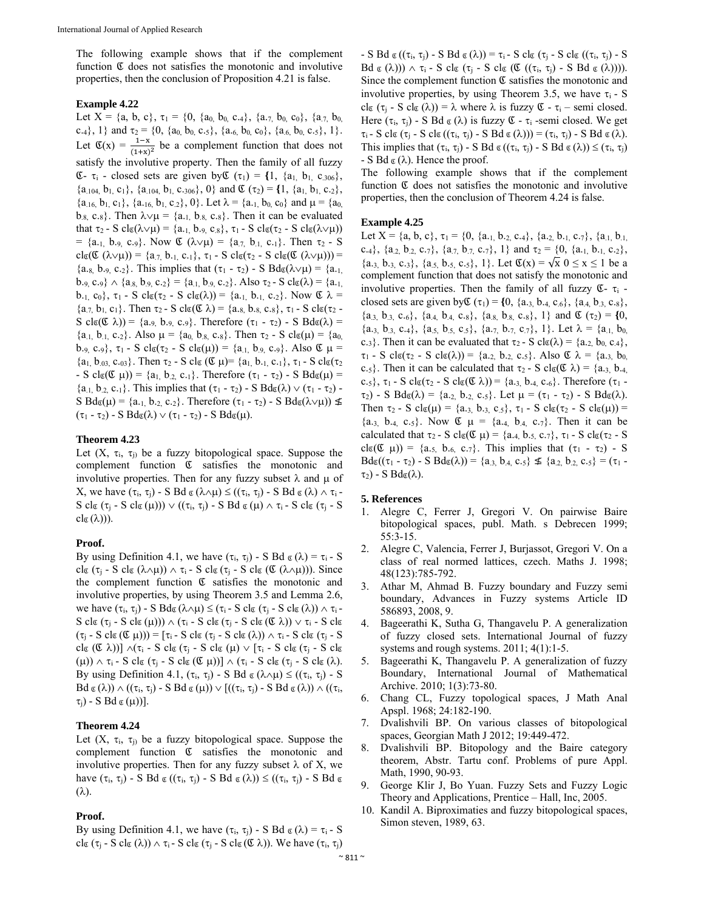The following example shows that if the complement function  $\mathfrak C$  does not satisfies the monotonic and involutive properties, then the conclusion of Proposition 4.21 is false.

## **Example 4.22**

Let  $X = \{a, b, c\}$ ,  $\tau_1 = \{0, \{a_0, b_0, c_4\}$ ,  $\{a_{.7}, b_0, c_0\}$ ,  $\{a_{.7}, b_0, c_0\}$ c.4}, 1} and  $\tau_2 = \{0, \{a_0, b_0, c_0\}, \{a_6, b_0, c_0\}, \{a_6, b_0, c_0\}, 1\}.$ Let  $\mathfrak{C}(x) = \frac{1-x}{(1+x)^2}$  be a complement function that does not satisfy the involutive property. Then the family of all fuzzy  $\mathfrak{C}$ -  $\tau_i$  - closed sets are given by  $\mathfrak{C}(\tau_1) = \{1, \{a_1, b_1, c_{.306}\},\}$  $\{a_{.104}, b_{1}, c_{1}\}, \{a_{.104}, b_{1}, c_{.306}\}, 0\}$  and  $\mathfrak{C}(\tau_2) = \{1, \{a_{1}, b_{1}, c_{.2}\}, \}$  $\{a_{.16}, b_{1}, c_{1}\}, \{a_{.16}, b_{1}, c_{.2}\}, 0\}$ . Let  $\lambda = \{a_{.1}, b_{0}, c_{0}\}$  and  $\mu = \{a_{0},$  $b_{.8}$ , c.<sub>8</sub>}. Then  $\lambda \vee \mu = \{a_{.1}, b_{.8}, c_{.8}\}\.$  Then it can be evaluated that  $\tau_2$  - S cl $\mathfrak{g}(\lambda \vee \mu)$  = {a.<sub>1,</sub> b.<sub>9,</sub> c<sub>.8</sub>},  $\tau_1$  - S cl $\mathfrak{g}(\tau_2$  - S cl $\mathfrak{g}(\lambda \vee \mu)$ ) = {a<sub>-1,</sub> b<sub>-9,</sub> c<sub>-9</sub>}. Now  $\mathfrak{C}(\lambda \vee \mu) = \{a_{.7}, b_{.1}, c_{.1}\}\)$ . Then  $\tau_2$  - S  $clc(\mathfrak{C}(\lambda \vee \mu)) = \{a_{.7}, b_{.1}, c_{.1}\}, \tau_1 - S \text{ } cl_{\mathfrak{C}}(\tau_2 - S \text{ } cl_{\mathfrak{C}}(\mathfrak{C}(\lambda \vee \mu))) =$  ${a.s. b.s. c.2}$ . This implies that  $(\tau_1 - \tau_2) - S Bd\sigma(\lambda \vee \mu) = {a.s.}$  $b_{.9,} c_{.9} \} \wedge \{a_{.8,} b_{.9,} c_{.2}\} = \{a_{.1,} b_{.9,} c_{.2}\}.$  Also  $\tau_2$ - S cl<sub>g</sub>( $\lambda$ ) = {a.<sub>1,</sub> b.<sub>1,</sub> c<sub>0</sub>},  $\tau_1$  - S clg( $\tau_2$  - S clg( $\lambda$ )) = {a.<sub>1,</sub> b.<sub>1,</sub> c.<sub>2</sub>}. Now  $\mathfrak{C} \lambda$  =  ${a_{7, b_1, c_1}}$ . Then  $\tau_2$ - S cl<sub>g</sub>( $\mathcal{L}$  $\lambda$ ) = {a.<sub>8,</sub> b.<sub>8,</sub> c.<sub>8</sub>},  $\tau_1$ - S clg( $\tau_2$ -S cl $g(\mathfrak{C} \lambda)$  = {a.9, b.9, c.9}. Therefore ( $\tau_1$  -  $\tau_2$ ) - S Bd $g(\lambda)$  =  ${a_{.1, b_{.1, c.2}}}.$  Also  $\mu = {a_0, b_{.8, c.8}}.$  Then  $\tau_2$  - S cl<sub>c</sub>( $\mu$ ) =  ${a_0, a_1}$ b.<sub>9, c.9</sub>,  $\tau_1$  - S cl<sub>c</sub>( $\tau_2$  - S cl<sub>c</sub>( $\mu$ )) = {a<sub>.1,</sub> b<sub>.9</sub>, c.<sub>9</sub>}. Also  $\mathfrak{C}$   $\mu$  =  ${a_1, b_{03}, c_{03}}$ . Then  $\tau_2$  - S cl<sub>g</sub> ( $\mathfrak{C} \mu$ )=  ${a_1, b_{11}, c_{11}}$ ,  $\tau_1$  - S clg( $\tau_2$ )  $-S \text{ cl}_{\mathfrak{C}}(\mathfrak{C} \mu) = \{a_1, b_2, c_1\}.$  Therefore  $(\tau_1 - \tau_2) - S \text{ Bd}_{\mathfrak{C}}(\mu) =$  $\{a_{.1}, b_{.2}, c_{.1}\}\$ . This implies that  $(\tau_1 - \tau_2)$  - S  $Bd\sigma(\lambda) \vee (\tau_1 - \tau_2)$  -S  $Bd\sigma(\mu) = \{a_{.1, b_{.2, c_{.2}}\}$ . Therefore  $(\tau_1 - \tau_2)$  - S  $Bd\sigma(\lambda \vee \mu)) \nleq$  $(\tau_1 - \tau_2)$  - S  $Bd_{\mathfrak{C}}(\lambda) \vee (\tau_1 - \tau_2)$  - S  $Bd_{\mathfrak{C}}(\mu)$ .

# **Theorem 4.23**

Let  $(X, \tau_i, \tau_j)$  be a fuzzy bitopological space. Suppose the complement function Ձ satisfies the monotonic and involutive properties. Then for any fuzzy subset  $\lambda$  and  $\mu$  of X, we have  $(\tau_i, \tau_j)$  - S Bd  $\alpha(\lambda \wedge \mu) \leq ((\tau_i, \tau_j)$  - S Bd  $\alpha(\lambda) \wedge \tau_i$  - $S$ cl<br/>g $(\tau_j$  -  $S$  cl<br/>g $(\mu)) \vee ((\tau_i, \tau_j)$  -  $S$  B<br/>d $g$   $(\mu) \wedge \tau_i$  -  $S$  cl<br/>g $(\tau_j$ -  $S$  $cl_{\mathfrak{C}}(\lambda))$ ).

# **Proof.**

By using Definition 4.1, we have  $(\tau_i, \tau_j)$  - S Bd  $\alpha(\lambda) = \tau_i$  - S clg ( $\tau_i$  - S clg ( $\lambda \wedge \mu$ ))  $\wedge \tau_i$  - S clg ( $\tau_i$  - S clg ( $\mathfrak{C}(\lambda \wedge \mu)$ )). Since the complement function  $\mathfrak C$  satisfies the monotonic and involutive properties, by using Theorem 3.5 and Lemma 2.6, we have  $(\tau_i, \tau_j)$  - S Bd $\alpha(\lambda \wedge \mu) \leq (\tau_i - S \text{ cl } \alpha (\tau_j - S \text{ cl } \alpha(\lambda)) \wedge \tau_i$  $S \text{ cl}_{\mathfrak{C}} (\tau_i - S \text{ cl}_{\mathfrak{C}} (\mu))) \wedge (\tau_i - S \text{ cl}_{\mathfrak{C}} (\tau_i - S \text{ cl}_{\mathfrak{C}} (\mathfrak{C} \lambda)) \vee \tau_i - S \text{ cl}_{\mathfrak{C}}$  $(\tau_i - S \text{ cl } (\mathfrak{C} \mu)) = [\tau_i - S \text{ cl } (\tau_i - S \text{ cl } (\lambda)) \wedge \tau_i - S \text{ cl } (\tau_i - S$ cle  $(\mathfrak{C} \lambda))$ ]  $\wedge (\tau_i$  - S cle  $(\tau_i$  - S cle  $(\mu) \vee [\tau_i$  - S cle  $(\tau_i$  - S cle  $(\mu)$ )  $\wedge$   $\tau$ <sub>i</sub> - S clg  $(\tau_j$  - S clg  $(\mathfrak{C} \mu))$ ]  $\wedge$   $(\tau_i$  - S clg  $(\tau_j$  - S clg  $(\lambda)$ . By using Definition 4.1,  $(\tau_i, \tau_j)$  - S Bd  $\alpha (\lambda \wedge \mu) \leq ((\tau_i, \tau_j)$  - S  $Bd \sigma(\lambda) \wedge ((\tau_i, \tau_j) - S Bd \sigma(\mu)) \vee [((\tau_i, \tau_j) - S Bd \sigma(\lambda)) \wedge ((\tau_i,$  $\tau_i$ ) - S Bd  $\alpha(\mu)$ ].

# **Theorem 4.24**

Let  $(X, \tau_i, \tau_j)$  be a fuzzy bitopological space. Suppose the complement function  $\mathfrak C$  satisfies the monotonic and involutive properties. Then for any fuzzy subset  $\lambda$  of X, we have  $(\tau_i, \tau_j)$  - S Bd  $\alpha((\tau_i, \tau_j)$  - S Bd  $\alpha(\lambda)) \leq ((\tau_i, \tau_j)$  - S Bd  $\alpha$  $(\lambda)$ .

## **Proof.**

By using Definition 4.1, we have  $(\tau_i, \tau_j)$  - S Bd  $\alpha(\lambda) = \tau_i$  - S cl $g(\tau_i - S \text{ cl } \mathfrak{g}(\lambda)) \wedge \tau_i - S \text{ cl } \mathfrak{g}(\tau_i - S \text{ cl } \mathfrak{g}(\mathfrak{C} \lambda))$ . We have  $(\tau_i, \tau_i)$ 

- S Bd  $\alpha$  (( $\tau_i$ ,  $\tau_j$ ) - S Bd  $\alpha$  ( $\lambda$ )) =  $\tau_i$  - S cl $\alpha$  ( $\tau_j$  - S cl $\alpha$  (( $\tau_i$ ,  $\tau_j$ ) - S  $Bd \sigma (\lambda)) \wedge \tau_i - S cl \sigma (\tau_i - S cl \sigma ((\tau_i, \tau_i) - S Bd \sigma (\lambda))).$ Since the complement function  $\mathfrak C$  satisfies the monotonic and involutive properties, by using Theorem 3.5, we have  $\tau_i$  - S cl $g(\tau_j - S \text{ cl } (\lambda)) = \lambda$  where  $\lambda$  is fuzzy  $\mathfrak{C} - \tau_i$  – semi closed. Here  $(\tau_i, \tau_j)$  - S Bd  $\alpha(\lambda)$  is fuzzy  $\mathfrak{C}$  -  $\tau_i$  -semi closed. We get  $\tau_i$  - S cl<sub>C</sub> ( $\tau_i$  - S cl<sub>C</sub> (( $\tau_i$ ,  $\tau_i$ ) - S Bd  $\sigma(\lambda)$ )) = ( $\tau_i$ ,  $\tau_i$ ) - S Bd  $\sigma(\lambda)$ . This implies that  $(\tau_i, \tau_j)$  - S Bd  $\alpha((\tau_i, \tau_j)$  - S Bd  $\alpha(\lambda)) \leq (\tau_i, \tau_j)$  $-S Bd \sigma(\lambda)$ . Hence the proof.

The following example shows that if the complement function  $\mathfrak C$  does not satisfies the monotonic and involutive properties, then the conclusion of Theorem 4.24 is false.

## **Example 4.25**

Let X = {a, b, c},  $\tau_1$  = {0, {a, 1, b, 2, c, 4}, {a, 2, b, 1, c, 7}, {a, 1, b, 1, c.<sub>4</sub>}, {a<sub>2,</sub> b<sub>2</sub>, c.<sub>7</sub>}, {a<sub>7,</sub> b<sub>7</sub>, c.<sub>7</sub>}, 1} and  $\tau_2 = \{0, \{a_{.1}, b_{.1}, c_{.2}\},\}$  $\{a_{.3, 0.3, 0.3}\}, \{a_{.5, 0.5, 0.5}\}, \{1\}.$  Let  $\mathfrak{C}(x) = \sqrt{x} \ 0 \le x \le 1$  be a complement function that does not satisfy the monotonic and involutive properties. Then the family of all fuzzy  $\mathfrak{C}$ -  $\tau_i$  closed sets are given by  $\mathfrak{C}(\tau_1) = \{0, \{a_{.3}, b_{.4}, c_{.6}\}, \{a_{.4}, b_{.3}, c_{.8}\},\}$  $\{a_{.3}, b_{.3}, c_{.6}\}, \{a_{.4}, b_{.4}, c_{.8}\}, \{a_{.8}, b_{.8}, c_{.8}\}, 1\}$  and  $\mathfrak{C}(\tau_2) = \{0,$  ${a_{.3, b_{.3, c.4}}, {a_{.5, b_{.5, c.5}}, {a_{.7, b.7, c.7}}, 1}.$  Let  $\lambda = {a_{.1, b_0}}$ c.<sub>3</sub>}. Then it can be evaluated that  $\tau_2$  - S cl<sub>c</sub>( $\lambda$ ) = {a.<sub>2,</sub> b<sub>0,</sub> c<sub>.4</sub>},  $\tau_1$  - S cl $\sigma(\tau_2$  - S cl $\sigma(\lambda)) = \{a_{.2, b_{.2, c_{.5}}\}\.$  Also  $\sigma \lambda = \{a_{.3, b_{0, c_{.5}}\}\}.$ c.<sub>5</sub>}. Then it can be calculated that  $\tau_2$  - S cl<sub>g</sub>( $\mathcal{C}(\mathcal{X}) = \{a_{.3}, b_{.4}\}$ c.<sub>5</sub>},  $\tau_1$  - S cl<sub>g</sub>( $\tau_2$  - S cl<sub>g</sub>( $\mathfrak{C}(\mathfrak{C}(\lambda)) = \{a_{.3, b_{.4, c_{.6}}\}$ . Therefore ( $\tau_1$  - $\tau_2$ ) - S Bd<sub> $\sigma(\lambda)$ </sub> = {a.<sub>2,</sub> b.<sub>2,</sub> c.<sub>5</sub>}. Let  $\mu = (\tau_1 - \tau_2)$  - S Bd<sub> $\sigma(\lambda)$ </sub>. Then  $\tau_2$  - S cl $\sigma(\mu)$  = {a.<sub>3,</sub> b.<sub>3,</sub> c<sub>.5</sub>},  $\tau_1$  - S cl $\sigma(\tau_2$  - S cl $\sigma(\mu)$ ) =  ${a_{.3, b_{.4, c_{.5}}}$ . Now  $\mathfrak{C} \mu = {a_{.4, b_{.4, c_{.7}}}$ . Then it can be calculated that  $\tau_2$  - S cl<sub>g</sub>( $\mathfrak{C}$   $\mu$ ) = {a.<sub>4,</sub> b.<sub>5,</sub> c.<sub>7</sub>},  $\tau_1$  - S clg( $\tau_2$  - S  $cl \mathfrak{g}(\mathfrak{C} \mu) = \{a_{.5, b_{.6, c_{.7}}}\}\.$  This implies that  $(\tau_1 - \tau_2) - S$  $Bd_{\mathfrak{C}}((\tau_1 - \tau_2) - S Bd_{\mathfrak{C}}(\lambda)) = \{a_{.3}, b_{.4}, c_{.5}\} \nleq \{a_{.2}, b_{.2}, c_{.5}\} = (\tau_1 - \tau_2)$  $\tau_2$ ) - S Bd $\sigma(\lambda)$ .

## **5. References**

- 1. Alegre C, Ferrer J, Gregori V. On pairwise Baire bitopological spaces, publ. Math. s Debrecen 1999; 55:3-15.
- 2. Alegre C, Valencia, Ferrer J, Burjassot, Gregori V. On a class of real normed lattices, czech. Maths J. 1998; 48(123):785-792.
- 3. Athar M, Ahmad B. Fuzzy boundary and Fuzzy semi boundary, Advances in Fuzzy systems Article ID 586893, 2008, 9.
- 4. Bageerathi K, Sutha G, Thangavelu P. A generalization of fuzzy closed sets. International Journal of fuzzy systems and rough systems. 2011; 4(1):1-5.
- 5. Bageerathi K, Thangavelu P. A generalization of fuzzy Boundary, International Journal of Mathematical Archive. 2010; 1(3):73-80.
- 6. Chang CL, Fuzzy topological spaces, J Math Anal Apspl. 1968; 24:182-190.
- 7. Dvalishvili BP. On various classes of bitopological spaces, Georgian Math J 2012; 19:449-472.
- 8. Dvalishvili BP. Bitopology and the Baire category theorem, Abstr. Tartu conf. Problems of pure Appl. Math, 1990, 90-93.
- 9. George Klir J, Bo Yuan. Fuzzy Sets and Fuzzy Logic Theory and Applications, Prentice – Hall, Inc, 2005.
- 10. Kandil A. Biproximaties and fuzzy bitopological spaces, Simon steven, 1989, 63.